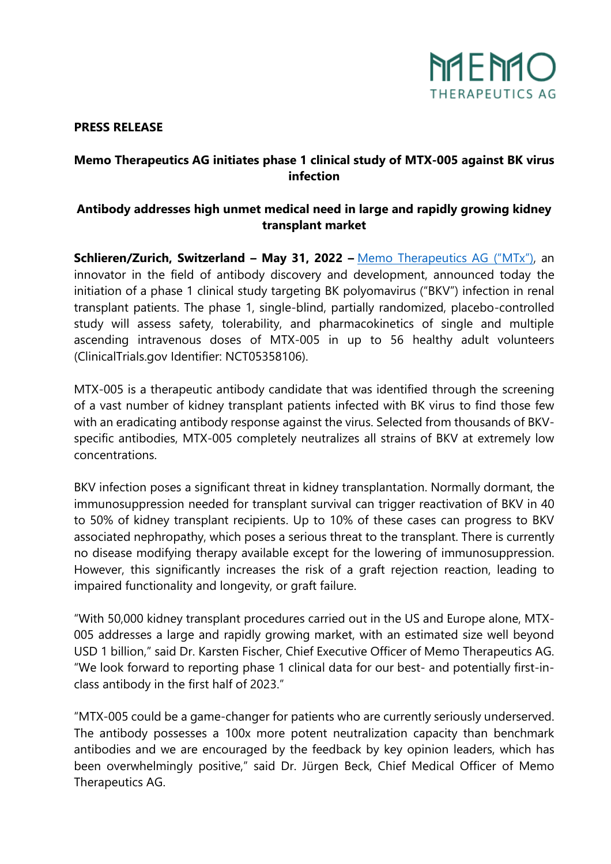

#### **PRESS RELEASE**

# **Memo Therapeutics AG initiates phase 1 clinical study of MTX-005 against BK virus infection**

# **Antibody addresses high unmet medical need in large and rapidly growing kidney transplant market**

**Schlieren/Zurich, Switzerland – May 31, 2022 –** [Memo Therapeutics AG](https://memo-therapeutics.com/home.html) ("MTx"), an innovator in the field of antibody discovery and development, announced today the initiation of a phase 1 clinical study targeting BK polyomavirus ("BKV") infection in renal transplant patients. The phase 1, single-blind, partially randomized, placebo-controlled study will assess safety, tolerability, and pharmacokinetics of single and multiple ascending intravenous doses of MTX-005 in up to 56 healthy adult volunteers (ClinicalTrials.gov Identifier: NCT05358106).

MTX-005 is a therapeutic antibody candidate that was identified through the screening of a vast number of kidney transplant patients infected with BK virus to find those few with an eradicating antibody response against the virus. Selected from thousands of BKVspecific antibodies, MTX-005 completely neutralizes all strains of BKV at extremely low concentrations.

BKV infection poses a significant threat in kidney transplantation. Normally dormant, the immunosuppression needed for transplant survival can trigger reactivation of BKV in 40 to 50% of kidney transplant recipients. Up to 10% of these cases can progress to BKV associated nephropathy, which poses a serious threat to the transplant. There is currently no disease modifying therapy available except for the lowering of immunosuppression. However, this significantly increases the risk of a graft rejection reaction, leading to impaired functionality and longevity, or graft failure.

"With 50,000 kidney transplant procedures carried out in the US and Europe alone, MTX-005 addresses a large and rapidly growing market, with an estimated size well beyond USD 1 billion," said Dr. Karsten Fischer, Chief Executive Officer of Memo Therapeutics AG. "We look forward to reporting phase 1 clinical data for our best- and potentially first-inclass antibody in the first half of 2023."

"MTX-005 could be a game-changer for patients who are currently seriously underserved. The antibody possesses a 100x more potent neutralization capacity than benchmark antibodies and we are encouraged by the feedback by key opinion leaders, which has been overwhelmingly positive," said Dr. Jürgen Beck, Chief Medical Officer of Memo Therapeutics AG.